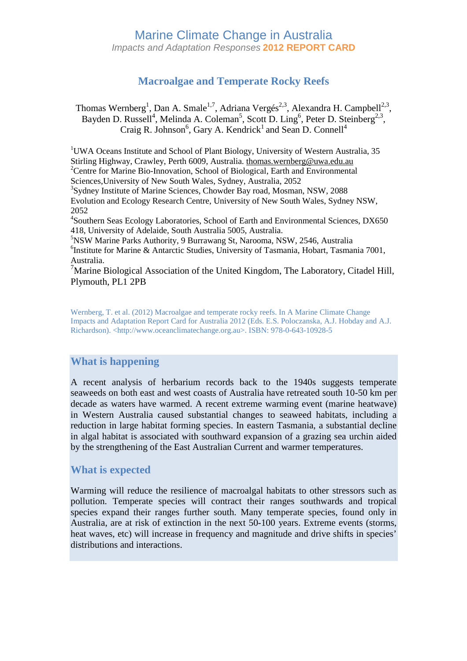# Marine Climate Change in Australia Impacts and Adaptation Responses **2012 REPORT CARD**

# **Macroalgae and Temperate Rocky Reefs**

Thomas Wernberg<sup>1</sup>, Dan A. Smale<sup>1,7</sup>, Adriana Vergés<sup>2,3</sup>, Alexandra H. Campbell<sup>2,3</sup>, Bayden D. Russell<sup>4</sup>, Melinda A. Coleman<sup>5</sup>, Scott D. Ling<sup>6</sup>, Peter D. Steinberg<sup>2,3</sup>, Craig R. Johnson<sup>6</sup>, Gary A. Kendrick<sup>1</sup> and Sean D. Connell<sup>4</sup>

<sup>1</sup>UWA Oceans Institute and School of Plant Biology, University of Western Australia, 35 Stirling Highway, Crawley, Perth 6009, Australia. thomas.wernberg@uwa.edu.au <sup>2</sup>Centre for Marine Bio-Innovation, School of Biological, Earth and Environmental Sciences,University of New South Wales, Sydney, Australia, 2052

3 Sydney Institute of Marine Sciences, Chowder Bay road, Mosman, NSW, 2088 Evolution and Ecology Research Centre, University of New South Wales, Sydney NSW, 2052

4 Southern Seas Ecology Laboratories, School of Earth and Environmental Sciences, DX650 418, University of Adelaide, South Australia 5005, Australia.

<sup>5</sup>NSW Marine Parks Authority, 9 Burrawang St, Narooma, NSW, 2546, Australia 6 Institute for Marine & Antarctic Studies, University of Tasmania, Hobart, Tasmania 7001, Australia.

<sup>7</sup>Marine Biological Association of the United Kingdom, The Laboratory, Citadel Hill, Plymouth, PL1 2PB

Wernberg, T. et al. (2012) Macroalgae and temperate rocky reefs. In A Marine Climate Change Impacts and Adaptation Report Card for Australia 2012 (Eds. E.S. Poloczanska, A.J. Hobday and A.J. Richardson). <http://www.oceanclimatechange.org.au>. ISBN: 978-0-643-10928-5

## **What is happening**

A recent analysis of herbarium records back to the 1940s suggests temperate seaweeds on both east and west coasts of Australia have retreated south 10-50 km per decade as waters have warmed. A recent extreme warming event (marine heatwave) in Western Australia caused substantial changes to seaweed habitats, including a reduction in large habitat forming species. In eastern Tasmania, a substantial decline in algal habitat is associated with southward expansion of a grazing sea urchin aided by the strengthening of the East Australian Current and warmer temperatures.

#### **What is expected**

Warming will reduce the resilience of macroalgal habitats to other stressors such as pollution. Temperate species will contract their ranges southwards and tropical species expand their ranges further south. Many temperate species, found only in Australia, are at risk of extinction in the next 50-100 years. Extreme events (storms, heat waves, etc) will increase in frequency and magnitude and drive shifts in species' distributions and interactions.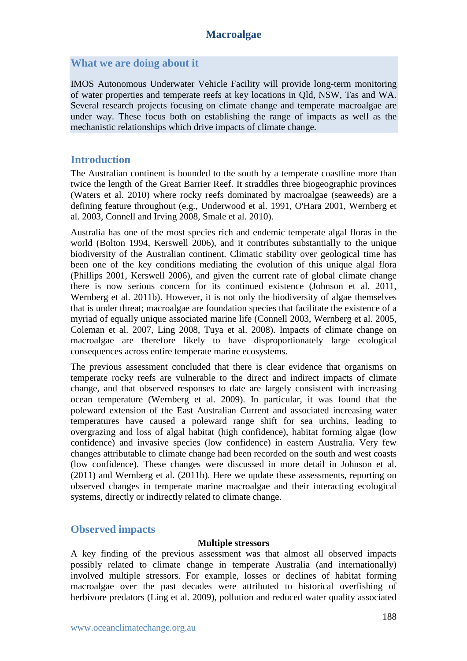## **What we are doing about it**

IMOS Autonomous Underwater Vehicle Facility will provide long-term monitoring of water properties and temperate reefs at key locations in Qld, NSW, Tas and WA. Several research projects focusing on climate change and temperate macroalgae are under way. These focus both on establishing the range of impacts as well as the mechanistic relationships which drive impacts of climate change.

## **Introduction**

The Australian continent is bounded to the south by a temperate coastline more than twice the length of the Great Barrier Reef. It straddles three biogeographic provinces (Waters et al. 2010) where rocky reefs dominated by macroalgae (seaweeds) are a defining feature throughout (e.g., Underwood et al. 1991, O'Hara 2001, Wernberg et al. 2003, Connell and Irving 2008, Smale et al. 2010).

Australia has one of the most species rich and endemic temperate algal floras in the world (Bolton 1994, Kerswell 2006), and it contributes substantially to the unique biodiversity of the Australian continent. Climatic stability over geological time has been one of the key conditions mediating the evolution of this unique algal flora (Phillips 2001, Kerswell 2006), and given the current rate of global climate change there is now serious concern for its continued existence (Johnson et al. 2011, Wernberg et al. 2011b). However, it is not only the biodiversity of algae themselves that is under threat; macroalgae are foundation species that facilitate the existence of a myriad of equally unique associated marine life (Connell 2003, Wernberg et al. 2005, Coleman et al. 2007, Ling 2008, Tuya et al. 2008). Impacts of climate change on macroalgae are therefore likely to have disproportionately large ecological consequences across entire temperate marine ecosystems.

The previous assessment concluded that there is clear evidence that organisms on temperate rocky reefs are vulnerable to the direct and indirect impacts of climate change, and that observed responses to date are largely consistent with increasing ocean temperature (Wernberg et al. 2009). In particular, it was found that the poleward extension of the East Australian Current and associated increasing water temperatures have caused a poleward range shift for sea urchins, leading to overgrazing and loss of algal habitat (high confidence), habitat forming algae (low confidence) and invasive species (low confidence) in eastern Australia. Very few changes attributable to climate change had been recorded on the south and west coasts (low confidence). These changes were discussed in more detail in Johnson et al. (2011) and Wernberg et al. (2011b). Here we update these assessments, reporting on observed changes in temperate marine macroalgae and their interacting ecological systems, directly or indirectly related to climate change.

## **Observed impacts**

#### **Multiple stressors**

A key finding of the previous assessment was that almost all observed impacts possibly related to climate change in temperate Australia (and internationally) involved multiple stressors. For example, losses or declines of habitat forming macroalgae over the past decades were attributed to historical overfishing of herbivore predators (Ling et al. 2009), pollution and reduced water quality associated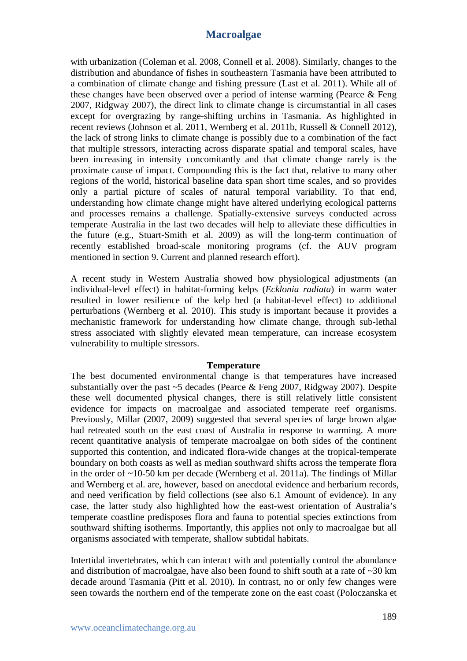with urbanization (Coleman et al. 2008, Connell et al. 2008). Similarly, changes to the distribution and abundance of fishes in southeastern Tasmania have been attributed to a combination of climate change and fishing pressure (Last et al. 2011). While all of these changes have been observed over a period of intense warming (Pearce & Feng 2007, Ridgway 2007), the direct link to climate change is circumstantial in all cases except for overgrazing by range-shifting urchins in Tasmania. As highlighted in recent reviews (Johnson et al. 2011, Wernberg et al. 2011b, Russell & Connell 2012), the lack of strong links to climate change is possibly due to a combination of the fact that multiple stressors, interacting across disparate spatial and temporal scales, have been increasing in intensity concomitantly and that climate change rarely is the proximate cause of impact. Compounding this is the fact that, relative to many other regions of the world, historical baseline data span short time scales, and so provides only a partial picture of scales of natural temporal variability. To that end, understanding how climate change might have altered underlying ecological patterns and processes remains a challenge. Spatially-extensive surveys conducted across temperate Australia in the last two decades will help to alleviate these difficulties in the future (e.g., Stuart-Smith et al. 2009) as will the long-term continuation of recently established broad-scale monitoring programs (cf. the AUV program mentioned in section 9. Current and planned research effort).

A recent study in Western Australia showed how physiological adjustments (an individual-level effect) in habitat-forming kelps (*Ecklonia radiata*) in warm water resulted in lower resilience of the kelp bed (a habitat-level effect) to additional perturbations (Wernberg et al. 2010). This study is important because it provides a mechanistic framework for understanding how climate change, through sub-lethal stress associated with slightly elevated mean temperature, can increase ecosystem vulnerability to multiple stressors.

#### **Temperature**

The best documented environmental change is that temperatures have increased substantially over the past  $\sim$  5 decades (Pearce & Feng 2007, Ridgway 2007). Despite these well documented physical changes, there is still relatively little consistent evidence for impacts on macroalgae and associated temperate reef organisms. Previously, Millar (2007, 2009) suggested that several species of large brown algae had retreated south on the east coast of Australia in response to warming. A more recent quantitative analysis of temperate macroalgae on both sides of the continent supported this contention, and indicated flora-wide changes at the tropical-temperate boundary on both coasts as well as median southward shifts across the temperate flora in the order of ~10-50 km per decade (Wernberg et al. 2011a). The findings of Millar and Wernberg et al. are, however, based on anecdotal evidence and herbarium records, and need verification by field collections (see also 6.1 Amount of evidence). In any case, the latter study also highlighted how the east-west orientation of Australia's temperate coastline predisposes flora and fauna to potential species extinctions from southward shifting isotherms. Importantly, this applies not only to macroalgae but all organisms associated with temperate, shallow subtidal habitats.

Intertidal invertebrates, which can interact with and potentially control the abundance and distribution of macroalgae, have also been found to shift south at a rate of ~30 km decade around Tasmania (Pitt et al. 2010). In contrast, no or only few changes were seen towards the northern end of the temperate zone on the east coast (Poloczanska et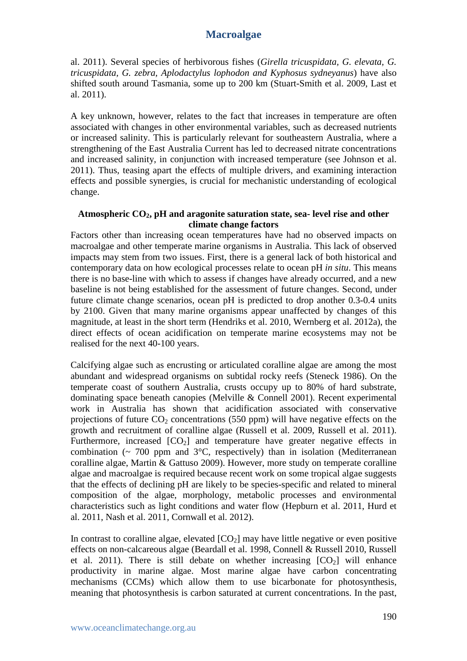al. 2011). Several species of herbivorous fishes (*Girella tricuspidata, G. elevata, G. tricuspidata, G. zebra, Aplodactylus lophodon and Kyphosus sydneyanus*) have also shifted south around Tasmania, some up to 200 km (Stuart-Smith et al. 2009, Last et al. 2011).

A key unknown, however, relates to the fact that increases in temperature are often associated with changes in other environmental variables, such as decreased nutrients or increased salinity. This is particularly relevant for southeastern Australia, where a strengthening of the East Australia Current has led to decreased nitrate concentrations and increased salinity, in conjunction with increased temperature (see Johnson et al. 2011). Thus, teasing apart the effects of multiple drivers, and examining interaction effects and possible synergies, is crucial for mechanistic understanding of ecological change.

#### **Atmospheric CO2, pH and aragonite saturation state, sea- level rise and other climate change factors**

Factors other than increasing ocean temperatures have had no observed impacts on macroalgae and other temperate marine organisms in Australia. This lack of observed impacts may stem from two issues. First, there is a general lack of both historical and contemporary data on how ecological processes relate to ocean pH *in situ*. This means there is no base-line with which to assess if changes have already occurred, and a new baseline is not being established for the assessment of future changes. Second, under future climate change scenarios, ocean pH is predicted to drop another 0.3-0.4 units by 2100. Given that many marine organisms appear unaffected by changes of this magnitude, at least in the short term (Hendriks et al. 2010, Wernberg et al. 2012a), the direct effects of ocean acidification on temperate marine ecosystems may not be realised for the next 40-100 years.

Calcifying algae such as encrusting or articulated coralline algae are among the most abundant and widespread organisms on subtidal rocky reefs (Steneck 1986). On the temperate coast of southern Australia, crusts occupy up to 80% of hard substrate, dominating space beneath canopies (Melville & Connell 2001). Recent experimental work in Australia has shown that acidification associated with conservative projections of future  $CO_2$  concentrations (550 ppm) will have negative effects on the growth and recruitment of coralline algae (Russell et al. 2009, Russell et al. 2011). Furthermore, increased  $[CO<sub>2</sub>]$  and temperature have greater negative effects in combination ( $\sim$  700 ppm and 3°C, respectively) than in isolation (Mediterranean coralline algae, Martin & Gattuso 2009). However, more study on temperate coralline algae and macroalgae is required because recent work on some tropical algae suggests that the effects of declining pH are likely to be species-specific and related to mineral composition of the algae, morphology, metabolic processes and environmental characteristics such as light conditions and water flow (Hepburn et al. 2011, Hurd et al. 2011, Nash et al. 2011, Cornwall et al. 2012).

In contrast to coralline algae, elevated  $[CO_2]$  may have little negative or even positive effects on non-calcareous algae (Beardall et al. 1998, Connell & Russell 2010, Russell et al. 2011). There is still debate on whether increasing  $[CO<sub>2</sub>]$  will enhance productivity in marine algae. Most marine algae have carbon concentrating mechanisms (CCMs) which allow them to use bicarbonate for photosynthesis, meaning that photosynthesis is carbon saturated at current concentrations. In the past,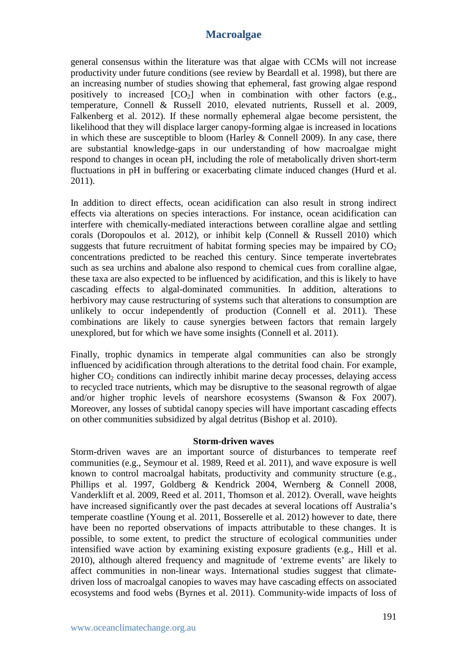general consensus within the literature was that algae with CCMs will not increase productivity under future conditions (see review by Beardall et al. 1998), but there are an increasing number of studies showing that ephemeral, fast growing algae respond positively to increased  $[CO_2]$  when in combination with other factors (e.g., temperature, Connell & Russell 2010, elevated nutrients, Russell et al. 2009, Falkenberg et al. 2012). If these normally ephemeral algae become persistent, the likelihood that they will displace larger canopy-forming algae is increased in locations in which these are susceptible to bloom (Harley & Connell 2009). In any case, there are substantial knowledge-gaps in our understanding of how macroalgae might respond to changes in ocean pH, including the role of metabolically driven short-term fluctuations in pH in buffering or exacerbating climate induced changes (Hurd et al. 2011).

In addition to direct effects, ocean acidification can also result in strong indirect effects via alterations on species interactions. For instance, ocean acidification can interfere with chemically-mediated interactions between coralline algae and settling corals (Doropoulos et al. 2012), or inhibit kelp (Connell & Russell 2010) which suggests that future recruitment of habitat forming species may be impaired by  $CO<sub>2</sub>$ concentrations predicted to be reached this century. Since temperate invertebrates such as sea urchins and abalone also respond to chemical cues from coralline algae, these taxa are also expected to be influenced by acidification, and this is likely to have cascading effects to algal-dominated communities. In addition, alterations to herbivory may cause restructuring of systems such that alterations to consumption are unlikely to occur independently of production (Connell et al. 2011). These combinations are likely to cause synergies between factors that remain largely unexplored, but for which we have some insights (Connell et al. 2011).

Finally, trophic dynamics in temperate algal communities can also be strongly influenced by acidification through alterations to the detrital food chain. For example, higher  $CO<sub>2</sub>$  conditions can indirectly inhibit marine decay processes, delaying access to recycled trace nutrients, which may be disruptive to the seasonal regrowth of algae and/or higher trophic levels of nearshore ecosystems (Swanson & Fox 2007). Moreover, any losses of subtidal canopy species will have important cascading effects on other communities subsidized by algal detritus (Bishop et al. 2010).

#### **Storm-driven waves**

Storm-driven waves are an important source of disturbances to temperate reef communities (e.g., Seymour et al. 1989, Reed et al. 2011), and wave exposure is well known to control macroalgal habitats, productivity and community structure (e.g., Phillips et al. 1997, Goldberg & Kendrick 2004, Wernberg & Connell 2008, Vanderklift et al. 2009, Reed et al. 2011, Thomson et al. 2012). Overall, wave heights have increased significantly over the past decades at several locations off Australia's temperate coastline (Young et al. 2011, Bosserelle et al. 2012) however to date, there have been no reported observations of impacts attributable to these changes. It is possible, to some extent, to predict the structure of ecological communities under intensified wave action by examining existing exposure gradients (e.g., Hill et al. 2010), although altered frequency and magnitude of 'extreme events' are likely to affect communities in non-linear ways. International studies suggest that climatedriven loss of macroalgal canopies to waves may have cascading effects on associated ecosystems and food webs (Byrnes et al. 2011). Community-wide impacts of loss of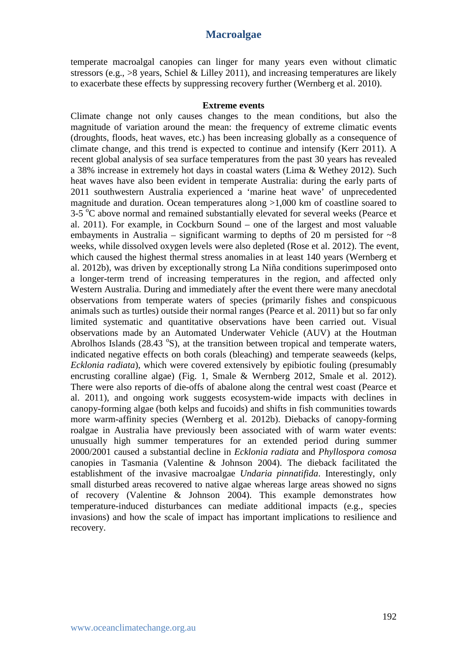temperate macroalgal canopies can linger for many years even without climatic stressors (e.g.,  $>8$  years, Schiel & Lilley 2011), and increasing temperatures are likely to exacerbate these effects by suppressing recovery further (Wernberg et al. 2010).

#### **Extreme events**

Climate change not only causes changes to the mean conditions, but also the magnitude of variation around the mean: the frequency of extreme climatic events (droughts, floods, heat waves, etc.) has been increasing globally as a consequence of climate change, and this trend is expected to continue and intensify (Kerr 2011). A recent global analysis of sea surface temperatures from the past 30 years has revealed a 38% increase in extremely hot days in coastal waters (Lima & Wethey 2012). Such heat waves have also been evident in temperate Australia: during the early parts of 2011 southwestern Australia experienced a 'marine heat wave' of unprecedented magnitude and duration. Ocean temperatures along >1,000 km of coastline soared to 3-5 °C above normal and remained substantially elevated for several weeks (Pearce et al. 2011). For example, in Cockburn Sound – one of the largest and most valuable embayments in Australia – significant warming to depths of 20 m persisted for  $\sim 8$ weeks, while dissolved oxygen levels were also depleted (Rose et al. 2012). The event, which caused the highest thermal stress anomalies in at least 140 years (Wernberg et al. 2012b), was driven by exceptionally strong La Niña conditions superimposed onto a longer-term trend of increasing temperatures in the region, and affected only Western Australia. During and immediately after the event there were many anecdotal observations from temperate waters of species (primarily fishes and conspicuous animals such as turtles) outside their normal ranges (Pearce et al. 2011) but so far only limited systematic and quantitative observations have been carried out. Visual observations made by an Automated Underwater Vehicle (AUV) at the Houtman Abrolhos Islands  $(28.43 \text{ }^\circ S)$ , at the transition between tropical and temperate waters, indicated negative effects on both corals (bleaching) and temperate seaweeds (kelps, *Ecklonia radiata*), which were covered extensively by epibiotic fouling (presumably encrusting coralline algae) (Fig. 1, Smale & Wernberg 2012, Smale et al. 2012). There were also reports of die-offs of abalone along the central west coast (Pearce et al. 2011), and ongoing work suggests ecosystem-wide impacts with declines in canopy-forming algae (both kelps and fucoids) and shifts in fish communities towards more warm-affinity species (Wernberg et al. 2012b). Diebacks of canopy-forming roalgae in Australia have previously been associated with of warm water events: unusually high summer temperatures for an extended period during summer 2000/2001 caused a substantial decline in *Ecklonia radiata* and *Phyllospora comosa* canopies in Tasmania (Valentine & Johnson 2004). The dieback facilitated the establishment of the invasive macroalgae *Undaria pinnatifida*. Interestingly, only small disturbed areas recovered to native algae whereas large areas showed no signs of recovery (Valentine & Johnson 2004). This example demonstrates how temperature-induced disturbances can mediate additional impacts (e.g., species invasions) and how the scale of impact has important implications to resilience and recovery.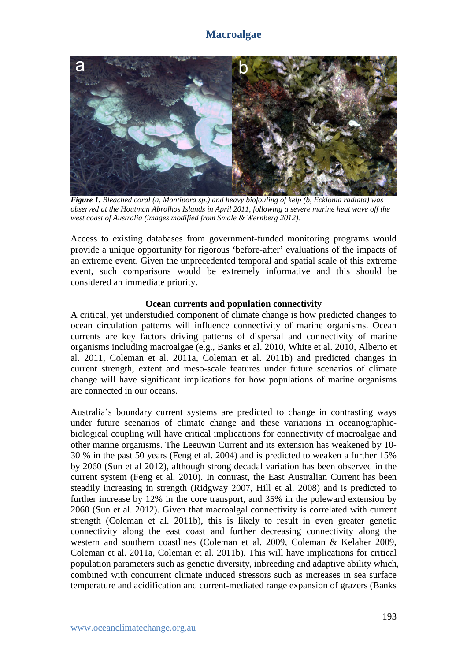

*Figure 1. Bleached coral (a, Montipora sp.) and heavy biofouling of kelp (b, Ecklonia radiata) was observed at the Houtman Abrolhos Islands in April 2011, following a severe marine heat wave off the west coast of Australia (images modified from Smale & Wernberg 2012).* 

Access to existing databases from government-funded monitoring programs would provide a unique opportunity for rigorous 'before-after' evaluations of the impacts of an extreme event. Given the unprecedented temporal and spatial scale of this extreme event, such comparisons would be extremely informative and this should be considered an immediate priority.

#### **Ocean currents and population connectivity**

A critical, yet understudied component of climate change is how predicted changes to ocean circulation patterns will influence connectivity of marine organisms. Ocean currents are key factors driving patterns of dispersal and connectivity of marine organisms including macroalgae (e.g., Banks et al. 2010, White et al. 2010, Alberto et al. 2011, Coleman et al. 2011a, Coleman et al. 2011b) and predicted changes in current strength, extent and meso-scale features under future scenarios of climate change will have significant implications for how populations of marine organisms are connected in our oceans.

Australia's boundary current systems are predicted to change in contrasting ways under future scenarios of climate change and these variations in oceanographicbiological coupling will have critical implications for connectivity of macroalgae and other marine organisms. The Leeuwin Current and its extension has weakened by 10- 30 % in the past 50 years (Feng et al. 2004) and is predicted to weaken a further 15% by 2060 (Sun et al 2012), although strong decadal variation has been observed in the current system (Feng et al. 2010). In contrast, the East Australian Current has been steadily increasing in strength (Ridgway 2007, Hill et al. 2008) and is predicted to further increase by 12% in the core transport, and 35% in the poleward extension by 2060 (Sun et al. 2012). Given that macroalgal connectivity is correlated with current strength (Coleman et al. 2011b), this is likely to result in even greater genetic connectivity along the east coast and further decreasing connectivity along the western and southern coastlines (Coleman et al. 2009, Coleman & Kelaher 2009, Coleman et al. 2011a, Coleman et al. 2011b). This will have implications for critical population parameters such as genetic diversity, inbreeding and adaptive ability which, combined with concurrent climate induced stressors such as increases in sea surface temperature and acidification and current-mediated range expansion of grazers (Banks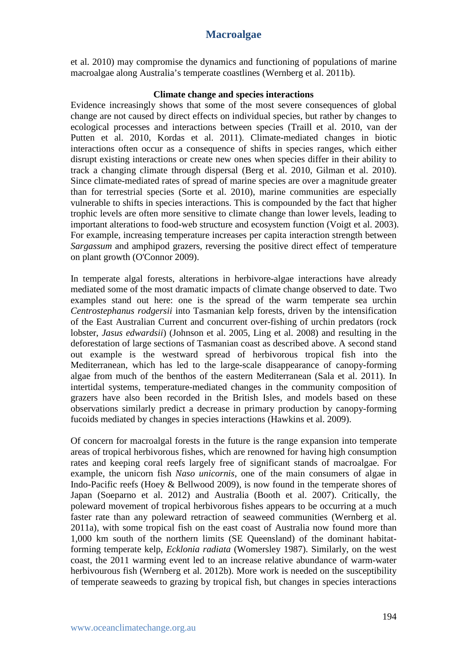et al. 2010) may compromise the dynamics and functioning of populations of marine macroalgae along Australia's temperate coastlines (Wernberg et al. 2011b).

#### **Climate change and species interactions**

Evidence increasingly shows that some of the most severe consequences of global change are not caused by direct effects on individual species, but rather by changes to ecological processes and interactions between species (Traill et al. 2010, van der Putten et al. 2010, Kordas et al. 2011). Climate-mediated changes in biotic interactions often occur as a consequence of shifts in species ranges, which either disrupt existing interactions or create new ones when species differ in their ability to track a changing climate through dispersal (Berg et al. 2010, Gilman et al. 2010). Since climate-mediated rates of spread of marine species are over a magnitude greater than for terrestrial species (Sorte et al. 2010), marine communities are especially vulnerable to shifts in species interactions. This is compounded by the fact that higher trophic levels are often more sensitive to climate change than lower levels, leading to important alterations to food-web structure and ecosystem function (Voigt et al. 2003). For example, increasing temperature increases per capita interaction strength between *Sargassum* and amphipod grazers, reversing the positive direct effect of temperature on plant growth (O'Connor 2009).

In temperate algal forests, alterations in herbivore-algae interactions have already mediated some of the most dramatic impacts of climate change observed to date. Two examples stand out here: one is the spread of the warm temperate sea urchin *Centrostephanus rodgersii* into Tasmanian kelp forests, driven by the intensification of the East Australian Current and concurrent over-fishing of urchin predators (rock lobster, *Jasus edwardsii*) (Johnson et al. 2005, Ling et al. 2008) and resulting in the deforestation of large sections of Tasmanian coast as described above. A second stand out example is the westward spread of herbivorous tropical fish into the Mediterranean, which has led to the large-scale disappearance of canopy-forming algae from much of the benthos of the eastern Mediterranean (Sala et al. 2011). In intertidal systems, temperature-mediated changes in the community composition of grazers have also been recorded in the British Isles, and models based on these observations similarly predict a decrease in primary production by canopy-forming fucoids mediated by changes in species interactions (Hawkins et al. 2009).

Of concern for macroalgal forests in the future is the range expansion into temperate areas of tropical herbivorous fishes, which are renowned for having high consumption rates and keeping coral reefs largely free of significant stands of macroalgae. For example, the unicorn fish *Naso unicornis*, one of the main consumers of algae in Indo-Pacific reefs (Hoey & Bellwood 2009), is now found in the temperate shores of Japan (Soeparno et al. 2012) and Australia (Booth et al. 2007). Critically, the poleward movement of tropical herbivorous fishes appears to be occurring at a much faster rate than any poleward retraction of seaweed communities (Wernberg et al. 2011a), with some tropical fish on the east coast of Australia now found more than 1,000 km south of the northern limits (SE Queensland) of the dominant habitatforming temperate kelp, *Ecklonia radiata* (Womersley 1987). Similarly, on the west coast, the 2011 warming event led to an increase relative abundance of warm-water herbivourous fish (Wernberg et al. 2012b). More work is needed on the susceptibility of temperate seaweeds to grazing by tropical fish, but changes in species interactions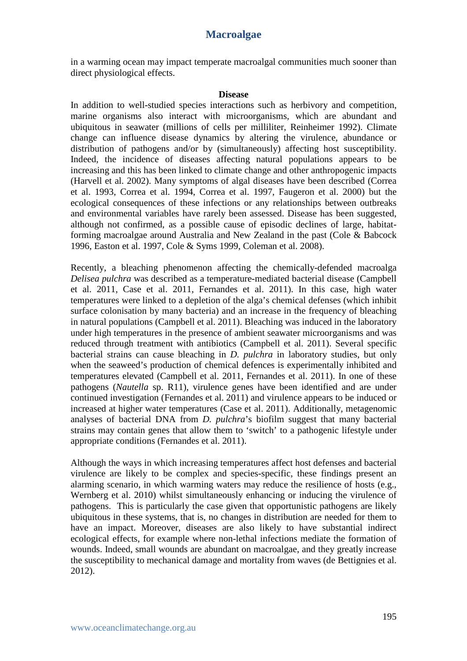in a warming ocean may impact temperate macroalgal communities much sooner than direct physiological effects.

#### **Disease**

In addition to well-studied species interactions such as herbivory and competition, marine organisms also interact with microorganisms, which are abundant and ubiquitous in seawater (millions of cells per milliliter, Reinheimer 1992). Climate change can influence disease dynamics by altering the virulence, abundance or distribution of pathogens and/or by (simultaneously) affecting host susceptibility. Indeed, the incidence of diseases affecting natural populations appears to be increasing and this has been linked to climate change and other anthropogenic impacts (Harvell et al. 2002). Many symptoms of algal diseases have been described (Correa et al. 1993, Correa et al. 1994, Correa et al. 1997, Faugeron et al. 2000) but the ecological consequences of these infections or any relationships between outbreaks and environmental variables have rarely been assessed. Disease has been suggested, although not confirmed, as a possible cause of episodic declines of large, habitatforming macroalgae around Australia and New Zealand in the past (Cole & Babcock 1996, Easton et al. 1997, Cole & Syms 1999, Coleman et al. 2008).

Recently, a bleaching phenomenon affecting the chemically-defended macroalga *Delisea pulchra* was described as a temperature-mediated bacterial disease (Campbell et al. 2011, Case et al. 2011, Fernandes et al. 2011). In this case, high water temperatures were linked to a depletion of the alga's chemical defenses (which inhibit surface colonisation by many bacteria) and an increase in the frequency of bleaching in natural populations (Campbell et al. 2011). Bleaching was induced in the laboratory under high temperatures in the presence of ambient seawater microorganisms and was reduced through treatment with antibiotics (Campbell et al. 2011). Several specific bacterial strains can cause bleaching in *D. pulchra* in laboratory studies, but only when the seaweed's production of chemical defences is experimentally inhibited and temperatures elevated (Campbell et al. 2011, Fernandes et al. 2011). In one of these pathogens (*Nautella* sp. R11), virulence genes have been identified and are under continued investigation (Fernandes et al. 2011) and virulence appears to be induced or increased at higher water temperatures (Case et al. 2011). Additionally, metagenomic analyses of bacterial DNA from *D. pulchra*'s biofilm suggest that many bacterial strains may contain genes that allow them to 'switch' to a pathogenic lifestyle under appropriate conditions (Fernandes et al. 2011).

Although the ways in which increasing temperatures affect host defenses and bacterial virulence are likely to be complex and species-specific, these findings present an alarming scenario, in which warming waters may reduce the resilience of hosts (e.g., Wernberg et al. 2010) whilst simultaneously enhancing or inducing the virulence of pathogens. This is particularly the case given that opportunistic pathogens are likely ubiquitous in these systems, that is, no changes in distribution are needed for them to have an impact. Moreover, diseases are also likely to have substantial indirect ecological effects, for example where non-lethal infections mediate the formation of wounds. Indeed, small wounds are abundant on macroalgae, and they greatly increase the susceptibility to mechanical damage and mortality from waves (de Bettignies et al. 2012).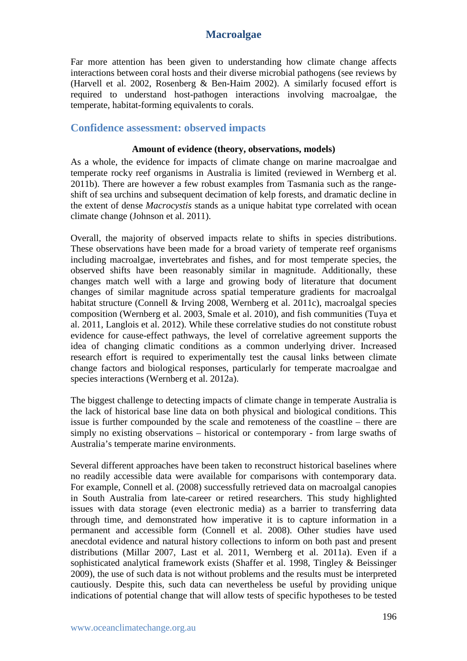Far more attention has been given to understanding how climate change affects interactions between coral hosts and their diverse microbial pathogens (see reviews by (Harvell et al. 2002, Rosenberg & Ben-Haim 2002). A similarly focused effort is required to understand host-pathogen interactions involving macroalgae, the temperate, habitat-forming equivalents to corals.

#### **Confidence assessment: observed impacts**

#### **Amount of evidence (theory, observations, models)**

As a whole, the evidence for impacts of climate change on marine macroalgae and temperate rocky reef organisms in Australia is limited (reviewed in Wernberg et al. 2011b). There are however a few robust examples from Tasmania such as the rangeshift of sea urchins and subsequent decimation of kelp forests, and dramatic decline in the extent of dense *Macrocystis* stands as a unique habitat type correlated with ocean climate change (Johnson et al. 2011).

Overall, the majority of observed impacts relate to shifts in species distributions. These observations have been made for a broad variety of temperate reef organisms including macroalgae, invertebrates and fishes, and for most temperate species, the observed shifts have been reasonably similar in magnitude. Additionally, these changes match well with a large and growing body of literature that document changes of similar magnitude across spatial temperature gradients for macroalgal habitat structure (Connell & Irving 2008, Wernberg et al. 2011c), macroalgal species composition (Wernberg et al. 2003, Smale et al. 2010), and fish communities (Tuya et al. 2011, Langlois et al. 2012). While these correlative studies do not constitute robust evidence for cause-effect pathways, the level of correlative agreement supports the idea of changing climatic conditions as a common underlying driver. Increased research effort is required to experimentally test the causal links between climate change factors and biological responses, particularly for temperate macroalgae and species interactions (Wernberg et al. 2012a).

The biggest challenge to detecting impacts of climate change in temperate Australia is the lack of historical base line data on both physical and biological conditions. This issue is further compounded by the scale and remoteness of the coastline – there are simply no existing observations – historical or contemporary - from large swaths of Australia's temperate marine environments.

Several different approaches have been taken to reconstruct historical baselines where no readily accessible data were available for comparisons with contemporary data. For example, Connell et al. (2008) successfully retrieved data on macroalgal canopies in South Australia from late-career or retired researchers. This study highlighted issues with data storage (even electronic media) as a barrier to transferring data through time, and demonstrated how imperative it is to capture information in a permanent and accessible form (Connell et al. 2008). Other studies have used anecdotal evidence and natural history collections to inform on both past and present distributions (Millar 2007, Last et al. 2011, Wernberg et al. 2011a). Even if a sophisticated analytical framework exists (Shaffer et al. 1998, Tingley & Beissinger 2009), the use of such data is not without problems and the results must be interpreted cautiously. Despite this, such data can nevertheless be useful by providing unique indications of potential change that will allow tests of specific hypotheses to be tested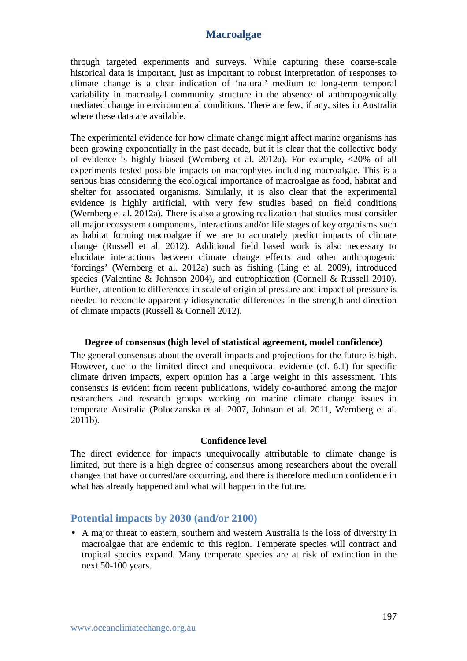through targeted experiments and surveys. While capturing these coarse-scale historical data is important, just as important to robust interpretation of responses to climate change is a clear indication of 'natural' medium to long-term temporal variability in macroalgal community structure in the absence of anthropogenically mediated change in environmental conditions. There are few, if any, sites in Australia where these data are available.

The experimental evidence for how climate change might affect marine organisms has been growing exponentially in the past decade, but it is clear that the collective body of evidence is highly biased (Wernberg et al. 2012a). For example, <20% of all experiments tested possible impacts on macrophytes including macroalgae. This is a serious bias considering the ecological importance of macroalgae as food, habitat and shelter for associated organisms. Similarly, it is also clear that the experimental evidence is highly artificial, with very few studies based on field conditions (Wernberg et al. 2012a). There is also a growing realization that studies must consider all major ecosystem components, interactions and/or life stages of key organisms such as habitat forming macroalgae if we are to accurately predict impacts of climate change (Russell et al. 2012). Additional field based work is also necessary to elucidate interactions between climate change effects and other anthropogenic 'forcings' (Wernberg et al. 2012a) such as fishing (Ling et al. 2009), introduced species (Valentine & Johnson 2004), and eutrophication (Connell & Russell 2010). Further, attention to differences in scale of origin of pressure and impact of pressure is needed to reconcile apparently idiosyncratic differences in the strength and direction of climate impacts (Russell & Connell 2012).

#### **Degree of consensus (high level of statistical agreement, model confidence)**

The general consensus about the overall impacts and projections for the future is high. However, due to the limited direct and unequivocal evidence (cf. 6.1) for specific climate driven impacts, expert opinion has a large weight in this assessment. This consensus is evident from recent publications, widely co-authored among the major researchers and research groups working on marine climate change issues in temperate Australia (Poloczanska et al. 2007, Johnson et al. 2011, Wernberg et al. 2011b).

#### **Confidence level**

The direct evidence for impacts unequivocally attributable to climate change is limited, but there is a high degree of consensus among researchers about the overall changes that have occurred/are occurring, and there is therefore medium confidence in what has already happened and what will happen in the future.

#### **Potential impacts by 2030 (and/or 2100)**

• A major threat to eastern, southern and western Australia is the loss of diversity in macroalgae that are endemic to this region. Temperate species will contract and tropical species expand. Many temperate species are at risk of extinction in the next 50-100 years.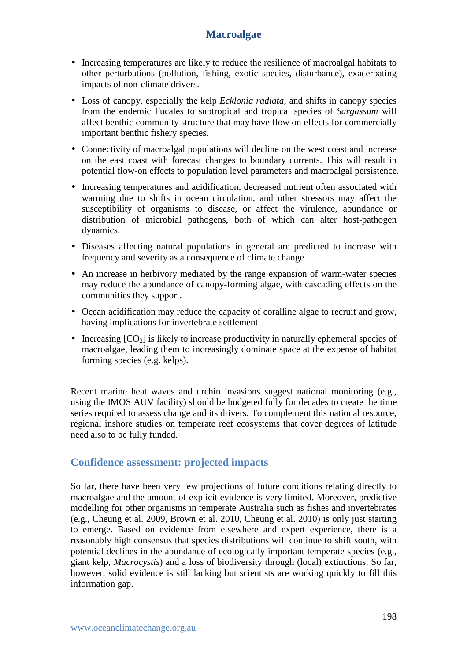- Increasing temperatures are likely to reduce the resilience of macroalgal habitats to other perturbations (pollution, fishing, exotic species, disturbance), exacerbating impacts of non-climate drivers.
- Loss of canopy, especially the kelp *Ecklonia radiata*, and shifts in canopy species from the endemic Fucales to subtropical and tropical species of *Sargassum* will affect benthic community structure that may have flow on effects for commercially important benthic fishery species.
- Connectivity of macroalgal populations will decline on the west coast and increase on the east coast with forecast changes to boundary currents. This will result in potential flow-on effects to population level parameters and macroalgal persistence.
- Increasing temperatures and acidification, decreased nutrient often associated with warming due to shifts in ocean circulation, and other stressors may affect the susceptibility of organisms to disease, or affect the virulence, abundance or distribution of microbial pathogens, both of which can alter host-pathogen dynamics.
- Diseases affecting natural populations in general are predicted to increase with frequency and severity as a consequence of climate change.
- An increase in herbivory mediated by the range expansion of warm-water species may reduce the abundance of canopy-forming algae, with cascading effects on the communities they support.
- Ocean acidification may reduce the capacity of coralline algae to recruit and grow, having implications for invertebrate settlement
- Increasing  $[CO_2]$  is likely to increase productivity in naturally ephemeral species of macroalgae, leading them to increasingly dominate space at the expense of habitat forming species (e.g. kelps).

Recent marine heat waves and urchin invasions suggest national monitoring (e.g., using the IMOS AUV facility) should be budgeted fully for decades to create the time series required to assess change and its drivers. To complement this national resource, regional inshore studies on temperate reef ecosystems that cover degrees of latitude need also to be fully funded.

## **Confidence assessment: projected impacts**

So far, there have been very few projections of future conditions relating directly to macroalgae and the amount of explicit evidence is very limited. Moreover, predictive modelling for other organisms in temperate Australia such as fishes and invertebrates (e.g., Cheung et al. 2009, Brown et al. 2010, Cheung et al. 2010) is only just starting to emerge. Based on evidence from elsewhere and expert experience, there is a reasonably high consensus that species distributions will continue to shift south, with potential declines in the abundance of ecologically important temperate species (e.g., giant kelp, *Macrocystis*) and a loss of biodiversity through (local) extinctions. So far, however, solid evidence is still lacking but scientists are working quickly to fill this information gap.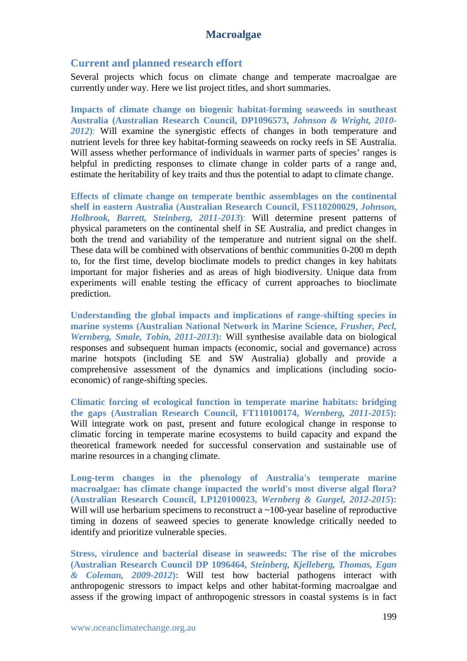#### **Current and planned research effort**

Several projects which focus on climate change and temperate macroalgae are currently under way. Here we list project titles, and short summaries.

**Impacts of climate change on biogenic habitat-forming seaweeds in southeast Australia (Australian Research Council, DP1096573,** *Johnson & Wright, 2010- 2012***)**: Will examine the synergistic effects of changes in both temperature and nutrient levels for three key habitat-forming seaweeds on rocky reefs in SE Australia. Will assess whether performance of individuals in warmer parts of species' ranges is helpful in predicting responses to climate change in colder parts of a range and, estimate the heritability of key traits and thus the potential to adapt to climate change.

**Effects of climate change on temperate benthic assemblages on the continental shelf in eastern Australia (Australian Research Council, FS110200029,** *Johnson, Holbrook, Barrett, Steinberg, 2011-2013***)**: Will determine present patterns of physical parameters on the continental shelf in SE Australia, and predict changes in both the trend and variability of the temperature and nutrient signal on the shelf. These data will be combined with observations of benthic communities 0-200 m depth to, for the first time, develop bioclimate models to predict changes in key habitats important for major fisheries and as areas of high biodiversity. Unique data from experiments will enable testing the efficacy of current approaches to bioclimate prediction.

**Understanding the global impacts and implications of range-shifting species in marine systems (Australian National Network in Marine Science,** *Frusher, Pecl, Wernberg, Smale, Tobin, 2011-2013***):** Will synthesise available data on biological responses and subsequent human impacts (economic, social and governance) across marine hotspots (including SE and SW Australia) globally and provide a comprehensive assessment of the dynamics and implications (including socioeconomic) of range-shifting species.

**Climatic forcing of ecological function in temperate marine habitats: bridging the gaps (Australian Research Council, FT110100174,** *Wernberg, 2011-2015***):** Will integrate work on past, present and future ecological change in response to climatic forcing in temperate marine ecosystems to build capacity and expand the theoretical framework needed for successful conservation and sustainable use of marine resources in a changing climate.

**Long-term changes in the phenology of Australia's temperate marine macroalgae: has climate change impacted the world's most diverse algal flora? (Australian Research Council, LP120100023,** *Wernberg & Gurgel, 2012-2015***):** Will will use herbarium specimens to reconstruct a ~100-year baseline of reproductive timing in dozens of seaweed species to generate knowledge critically needed to identify and prioritize vulnerable species.

**Stress, virulence and bacterial disease in seaweeds: The rise of the microbes (Australian Research Council DP 1096464,** *Steinberg, Kjelleberg, Thomas, Egan & Coleman, 2009-2012***):** Will test how bacterial pathogens interact with anthropogenic stressors to impact kelps and other habitat-forming macroalgae and assess if the growing impact of anthropogenic stressors in coastal systems is in fact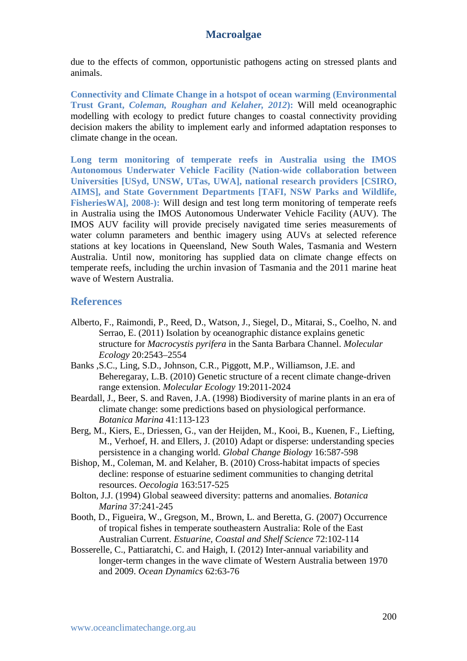due to the effects of common, opportunistic pathogens acting on stressed plants and animals.

**Connectivity and Climate Change in a hotspot of ocean warming (Environmental Trust Grant,** *Coleman, Roughan and Kelaher, 2012***):** Will meld oceanographic modelling with ecology to predict future changes to coastal connectivity providing decision makers the ability to implement early and informed adaptation responses to climate change in the ocean.

**Long term monitoring of temperate reefs in Australia using the IMOS Autonomous Underwater Vehicle Facility (Nation-wide collaboration between Universities [USyd, UNSW, UTas, UWA], national research providers [CSIRO, AIMS], and State Government Departments [TAFI, NSW Parks and Wildlife, FisheriesWA], 2008-):** Will design and test long term monitoring of temperate reefs in Australia using the IMOS Autonomous Underwater Vehicle Facility (AUV). The IMOS AUV facility will provide precisely navigated time series measurements of water column parameters and benthic imagery using AUVs at selected reference stations at key locations in Queensland, New South Wales, Tasmania and Western Australia. Until now, monitoring has supplied data on climate change effects on temperate reefs, including the urchin invasion of Tasmania and the 2011 marine heat wave of Western Australia.

#### **References**

- Alberto, F., Raimondi, P., Reed, D., Watson, J., Siegel, D., Mitarai, S., Coelho, N. and Serrao, E. (2011) Isolation by oceanographic distance explains genetic structure for *Macrocystis pyrifera* in the Santa Barbara Channel. *Molecular Ecology* 20:2543–2554
- Banks ,S.C., Ling, S.D., Johnson, C.R., Piggott, M.P., Williamson, J.E. and Beheregaray, L.B. (2010) Genetic structure of a recent climate change-driven range extension. *Molecular Ecology* 19:2011-2024
- Beardall, J., Beer, S. and Raven, J.A. (1998) Biodiversity of marine plants in an era of climate change: some predictions based on physiological performance. *Botanica Marina* 41:113-123
- Berg, M., Kiers, E., Driessen, G., van der Heijden, M., Kooi, B., Kuenen, F., Liefting, M., Verhoef, H. and Ellers, J. (2010) Adapt or disperse: understanding species persistence in a changing world. *Global Change Biology* 16:587-598
- Bishop, M., Coleman, M. and Kelaher, B. (2010) Cross-habitat impacts of species decline: response of estuarine sediment communities to changing detrital resources. *Oecologia* 163:517-525
- Bolton, J.J. (1994) Global seaweed diversity: patterns and anomalies. *Botanica Marina* 37:241-245
- Booth, D., Figueira, W., Gregson, M., Brown, L. and Beretta, G. (2007) Occurrence of tropical fishes in temperate southeastern Australia: Role of the East Australian Current. *Estuarine, Coastal and Shelf Science* 72:102-114
- Bosserelle, C., Pattiaratchi, C. and Haigh, I. (2012) Inter-annual variability and longer-term changes in the wave climate of Western Australia between 1970 and 2009. *Ocean Dynamics* 62:63-76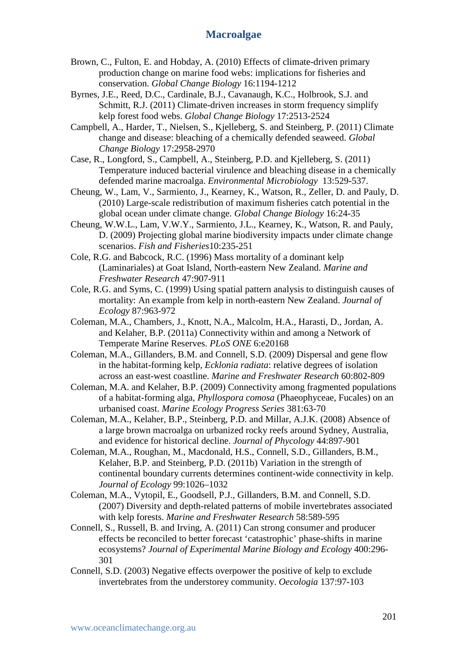- Brown, C., Fulton, E. and Hobday, A. (2010) Effects of climate-driven primary production change on marine food webs: implications for fisheries and conservation. *Global Change Biology* 16:1194-1212
- Byrnes, J.E., Reed, D.C., Cardinale, B.J., Cavanaugh, K.C., Holbrook, S.J. and Schmitt, R.J. (2011) Climate-driven increases in storm frequency simplify kelp forest food webs. *Global Change Biology* 17:2513-2524
- Campbell, A., Harder, T., Nielsen, S., Kjelleberg, S. and Steinberg, P. (2011) Climate change and disease: bleaching of a chemically defended seaweed. *Global Change Biology* 17:2958-2970
- Case, R., Longford, S., Campbell, A., Steinberg, P.D. and Kjelleberg, S. (2011) Temperature induced bacterial virulence and bleaching disease in a chemically defended marine macroalga. *Environmental Microbiology* 13:529-537.
- Cheung, W., Lam, V., Sarmiento, J., Kearney, K., Watson, R., Zeller, D. and Pauly, D. (2010) Large-scale redistribution of maximum fisheries catch potential in the global ocean under climate change. *Global Change Biology* 16:24-35
- Cheung, W.W.L., Lam, V.W.Y., Sarmiento, J.L., Kearney, K., Watson, R. and Pauly, D. (2009) Projecting global marine biodiversity impacts under climate change scenarios. *Fish and Fisheries*10:235-251
- Cole, R.G. and Babcock, R.C. (1996) Mass mortality of a dominant kelp (Laminariales) at Goat Island, North-eastern New Zealand. *Marine and Freshwater Research* 47:907-911
- Cole, R.G. and Syms, C. (1999) Using spatial pattern analysis to distinguish causes of mortality: An example from kelp in north-eastern New Zealand. *Journal of Ecology* 87:963-972
- Coleman, M.A., Chambers, J., Knott, N.A., Malcolm, H.A., Harasti, D., Jordan, A. and Kelaher, B.P. (2011a) Connectivity within and among a Network of Temperate Marine Reserves. *PLoS ONE* 6:e20168
- Coleman, M.A., Gillanders, B.M. and Connell, S.D. (2009) Dispersal and gene flow in the habitat-forming kelp, *Ecklonia radiata*: relative degrees of isolation across an east-west coastline. *Marine and Freshwater Research* 60:802-809
- Coleman, M.A. and Kelaher, B.P. (2009) Connectivity among fragmented populations of a habitat-forming alga, *Phyllospora comosa* (Phaeophyceae, Fucales) on an urbanised coast. *Marine Ecology Progress Series* 381:63-70
- Coleman, M.A., Kelaher, B.P., Steinberg, P.D. and Millar, A.J.K. (2008) Absence of a large brown macroalga on urbanized rocky reefs around Sydney, Australia, and evidence for historical decline. *Journal of Phycology* 44:897-901
- Coleman, M.A., Roughan, M., Macdonald, H.S., Connell, S.D., Gillanders, B.M., Kelaher, B.P. and Steinberg, P.D. (2011b) Variation in the strength of continental boundary currents determines continent-wide connectivity in kelp. *Journal of Ecology* 99:1026–1032
- Coleman, M.A., Vytopil, E., Goodsell, P.J., Gillanders, B.M. and Connell, S.D. (2007) Diversity and depth-related patterns of mobile invertebrates associated with kelp forests. *Marine and Freshwater Research* 58:589-595
- Connell, S., Russell, B. and Irving, A. (2011) Can strong consumer and producer effects be reconciled to better forecast 'catastrophic' phase-shifts in marine ecosystems? *Journal of Experimental Marine Biology and Ecology* 400:296- 301
- Connell, S.D. (2003) Negative effects overpower the positive of kelp to exclude invertebrates from the understorey community. *Oecologia* 137:97-103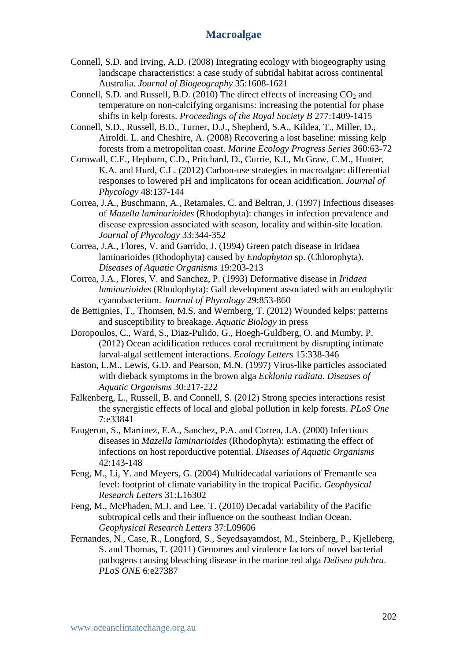- Connell, S.D. and Irving, A.D. (2008) Integrating ecology with biogeography using landscape characteristics: a case study of subtidal habitat across continental Australia. *Journal of Biogeography* 35:1608-1621
- Connell, S.D. and Russell, B.D. (2010) The direct effects of increasing  $CO<sub>2</sub>$  and temperature on non-calcifying organisms: increasing the potential for phase shifts in kelp forests. *Proceedings of the Royal Society B* 277:1409-1415
- Connell, S.D., Russell, B.D., Turner, D.J., Shepherd, S.A., Kildea, T., Miller, D., Airoldi. L. and Cheshire, A. (2008) Recovering a lost baseline: missing kelp forests from a metropolitan coast. *Marine Ecology Progress Series* 360:63-72
- Cornwall, C.E., Hepburn, C.D., Pritchard, D., Currie, K.I., McGraw, C.M., Hunter, K.A. and Hurd, C.L. (2012) Carbon-use strategies in macroalgae: differential responses to lowered pH and implicatons for ocean acidification. *Journal of Phycology* 48:137-144
- Correa, J.A., Buschmann, A., Retamales, C. and Beltran, J. (1997) Infectious diseases of *Mazella laminarioides* (Rhodophyta): changes in infection prevalence and disease expression associated with season, locality and within-site location. *Journal of Phycology* 33:344-352
- Correa, J.A., Flores, V. and Garrido, J. (1994) Green patch disease in Iridaea laminarioides (Rhodophyta) caused by *Endophyton* sp. (Chlorophyta). *Diseases of Aquatic Organisms* 19:203-213
- Correa, J.A., Flores, V. and Sanchez, P. (1993) Deformative disease in *Iridaea laminarioides* (Rhodophyta): Gall development associated with an endophytic cyanobacterium. *Journal of Phycology* 29:853-860
- de Bettignies, T., Thomsen, M.S. and Wernberg, T. (2012) Wounded kelps: patterns and susceptibility to breakage. *Aquatic Biology* in press
- Doropoulos, C., Ward, S., Diaz-Pulido, G., Hoegh-Guldberg, O. and Mumby, P. (2012) Ocean acidification reduces coral recruitment by disrupting intimate larval-algal settlement interactions. *Ecology Letters* 15:338-346
- Easton, L.M., Lewis, G.D. and Pearson, M.N. (1997) Virus-like particles associated with dieback symptoms in the brown alga *Ecklonia radiata*. *Diseases of Aquatic Organisms* 30:217-222
- Falkenberg, L., Russell, B. and Connell, S. (2012) Strong species interactions resist the synergistic effects of local and global pollution in kelp forests. *PLoS One*  7:e33841
- Faugeron, S., Martinez, E.A., Sanchez, P.A. and Correa, J.A. (2000) Infectious diseases in *Mazella laminarioides* (Rhodophyta): estimating the effect of infections on host reporductive potential. *Diseases of Aquatic Organisms* 42:143-148
- Feng, M., Li, Y. and Meyers, G. (2004) Multidecadal variations of Fremantle sea level: footprint of climate variability in the tropical Pacific. *Geophysical Research Letters* 31:L16302
- Feng, M., McPhaden, M.J. and Lee, T. (2010) Decadal variability of the Pacific subtropical cells and their influence on the southeast Indian Ocean. *Geophysical Research Letters* 37:L09606
- Fernandes, N., Case, R., Longford, S., Seyedsayamdost, M., Steinberg, P., Kjelleberg, S. and Thomas, T. (2011) Genomes and virulence factors of novel bacterial pathogens causing bleaching disease in the marine red alga *Delisea pulchra*. *PLoS ONE* 6:e27387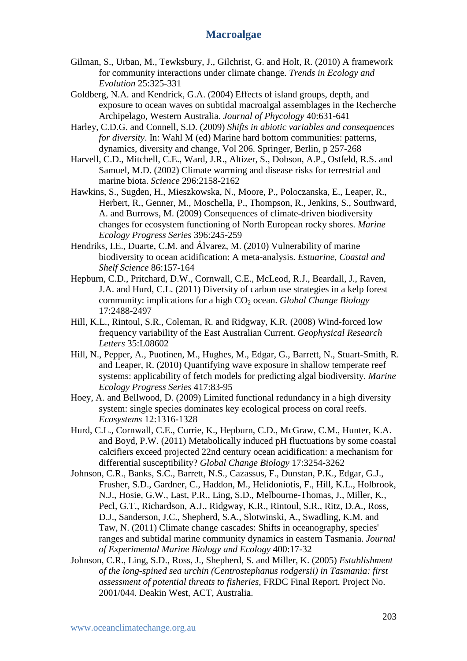- Gilman, S., Urban, M., Tewksbury, J., Gilchrist, G. and Holt, R. (2010) A framework for community interactions under climate change. *Trends in Ecology and Evolution* 25:325-331
- Goldberg, N.A. and Kendrick, G.A. (2004) Effects of island groups, depth, and exposure to ocean waves on subtidal macroalgal assemblages in the Recherche Archipelago, Western Australia. *Journal of Phycology* 40:631-641
- Harley, C.D.G. and Connell, S.D. (2009) *Shifts in abiotic variables and consequences for diversity*. In: Wahl M (ed) Marine hard bottom communities: patterns, dynamics, diversity and change, Vol 206. Springer, Berlin, p 257-268
- Harvell, C.D., Mitchell, C.E., Ward, J.R., Altizer, S., Dobson, A.P., Ostfeld, R.S. and Samuel, M.D. (2002) Climate warming and disease risks for terrestrial and marine biota. *Science* 296:2158-2162
- Hawkins, S., Sugden, H., Mieszkowska, N., Moore, P., Poloczanska, E., Leaper, R., Herbert, R., Genner, M., Moschella, P., Thompson, R., Jenkins, S., Southward, A. and Burrows, M. (2009) Consequences of climate-driven biodiversity changes for ecosystem functioning of North European rocky shores. *Marine Ecology Progress Series* 396:245-259
- Hendriks, I.E., Duarte, C.M. and Álvarez, M. (2010) Vulnerability of marine biodiversity to ocean acidification: A meta-analysis. *Estuarine, Coastal and Shelf Science* 86:157-164
- Hepburn, C.D., Pritchard, D.W., Cornwall, C.E., McLeod, R.J., Beardall, J., Raven, J.A. and Hurd, C.L. (2011) Diversity of carbon use strategies in a kelp forest community: implications for a high CO<sub>2</sub> ocean. *Global Change Biology* 17:2488-2497
- Hill, K.L., Rintoul, S.R., Coleman, R. and Ridgway, K.R. (2008) Wind-forced low frequency variability of the East Australian Current. *Geophysical Research Letters* 35:L08602
- Hill, N., Pepper, A., Puotinen, M., Hughes, M., Edgar, G., Barrett, N., Stuart-Smith, R. and Leaper, R. (2010) Quantifying wave exposure in shallow temperate reef systems: applicability of fetch models for predicting algal biodiversity. *Marine Ecology Progress Series* 417:83-95
- Hoey, A. and Bellwood, D. (2009) Limited functional redundancy in a high diversity system: single species dominates key ecological process on coral reefs. *Ecosystems* 12:1316-1328
- Hurd, C.L., Cornwall, C.E., Currie, K., Hepburn, C.D., McGraw, C.M., Hunter, K.A. and Boyd, P.W. (2011) Metabolically induced pH fluctuations by some coastal calcifiers exceed projected 22nd century ocean acidification: a mechanism for differential susceptibility? *Global Change Biology* 17:3254-3262
- Johnson, C.R., Banks, S.C., Barrett, N.S., Cazassus, F., Dunstan, P.K., Edgar, G.J., Frusher, S.D., Gardner, C., Haddon, M., Helidoniotis, F., Hill, K.L., Holbrook, N.J., Hosie, G.W., Last, P.R., Ling, S.D., Melbourne-Thomas, J., Miller, K., Pecl, G.T., Richardson, A.J., Ridgway, K.R., Rintoul, S.R., Ritz, D.A., Ross, D.J., Sanderson, J.C., Shepherd, S.A., Slotwinski, A., Swadling, K.M. and Taw, N. (2011) Climate change cascades: Shifts in oceanography, species' ranges and subtidal marine community dynamics in eastern Tasmania. *Journal of Experimental Marine Biology and Ecology* 400:17-32
- Johnson, C.R., Ling, S.D., Ross, J., Shepherd, S. and Miller, K. (2005) *Establishment of the long-spined sea urchin (Centrostephanus rodgersii) in Tasmania: first assessment of potential threats to fisheries*, FRDC Final Report. Project No. 2001/044. Deakin West, ACT, Australia.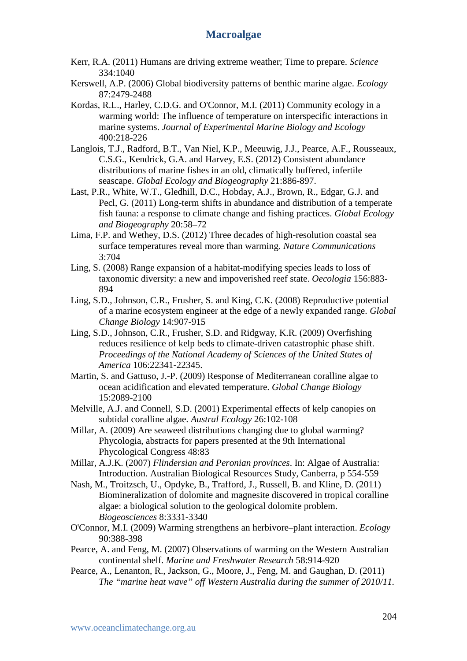- Kerr, R.A. (2011) Humans are driving extreme weather; Time to prepare. *Science*  334:1040
- Kerswell, A.P. (2006) Global biodiversity patterns of benthic marine algae. *Ecology*  87:2479-2488
- Kordas, R.L., Harley, C.D.G. and O'Connor, M.I. (2011) Community ecology in a warming world: The influence of temperature on interspecific interactions in marine systems. *Journal of Experimental Marine Biology and Ecology* 400:218-226
- Langlois, T.J., Radford, B.T., Van Niel, K.P., Meeuwig, J.J., Pearce, A.F., Rousseaux, C.S.G., Kendrick, G.A. and Harvey, E.S. (2012) Consistent abundance distributions of marine fishes in an old, climatically buffered, infertile seascape. *Global Ecology and Biogeography* 21:886-897.
- Last, P.R., White, W.T., Gledhill, D.C., Hobday, A.J., Brown, R., Edgar, G.J. and Pecl, G. (2011) Long-term shifts in abundance and distribution of a temperate fish fauna: a response to climate change and fishing practices. *Global Ecology and Biogeography* 20:58–72
- Lima, F.P. and Wethey, D.S. (2012) Three decades of high-resolution coastal sea surface temperatures reveal more than warming. *Nature Communications*  3:704
- Ling, S. (2008) Range expansion of a habitat-modifying species leads to loss of taxonomic diversity: a new and impoverished reef state. *Oecologia* 156:883- 894
- Ling, S.D., Johnson, C.R., Frusher, S. and King, C.K. (2008) Reproductive potential of a marine ecosystem engineer at the edge of a newly expanded range. *Global Change Biology* 14:907-915
- Ling, S.D., Johnson, C.R., Frusher, S.D. and Ridgway, K.R. (2009) Overfishing reduces resilience of kelp beds to climate-driven catastrophic phase shift. *Proceedings of the National Academy of Sciences of the United States of America* 106:22341-22345.
- Martin, S. and Gattuso, J.-P. (2009) Response of Mediterranean coralline algae to ocean acidification and elevated temperature. *Global Change Biology* 15:2089-2100
- Melville, A.J. and Connell, S.D. (2001) Experimental effects of kelp canopies on subtidal coralline algae. *Austral Ecology* 26:102-108
- Millar, A. (2009) Are seaweed distributions changing due to global warming? Phycologia, abstracts for papers presented at the 9th International Phycological Congress 48:83
- Millar, A.J.K. (2007) *Flindersian and Peronian provinces*. In: Algae of Australia: Introduction. Australian Biological Resources Study, Canberra, p 554-559
- Nash, M., Troitzsch, U., Opdyke, B., Trafford, J., Russell, B. and Kline, D. (2011) Biomineralization of dolomite and magnesite discovered in tropical coralline algae: a biological solution to the geological dolomite problem. *Biogeosciences* 8:3331-3340
- O'Connor, M.I. (2009) Warming strengthens an herbivore–plant interaction. *Ecology*  90:388-398
- Pearce, A. and Feng, M. (2007) Observations of warming on the Western Australian continental shelf. *Marine and Freshwater Research* 58:914-920
- Pearce, A., Lenanton, R., Jackson, G., Moore, J., Feng, M. and Gaughan, D. (2011) *The "marine heat wave" off Western Australia during the summer of 2010/11.*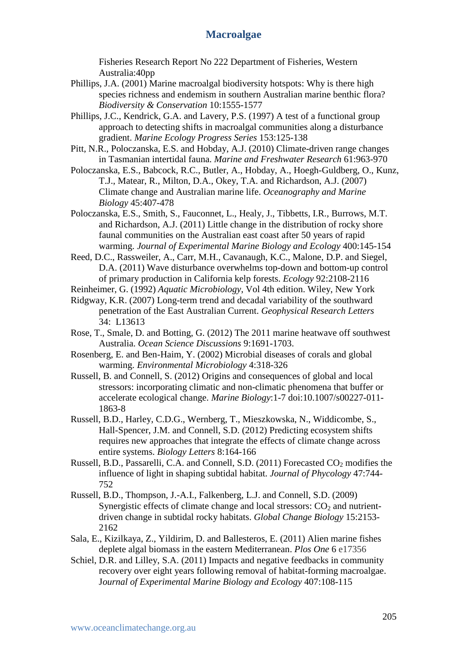Fisheries Research Report No 222 Department of Fisheries, Western Australia:40pp

- Phillips, J.A. (2001) Marine macroalgal biodiversity hotspots: Why is there high species richness and endemism in southern Australian marine benthic flora? *Biodiversity & Conservation* 10:1555-1577
- Phillips, J.C., Kendrick, G.A. and Lavery, P.S. (1997) A test of a functional group approach to detecting shifts in macroalgal communities along a disturbance gradient. *Marine Ecology Progress Series* 153:125-138
- Pitt, N.R., Poloczanska, E.S. and Hobday, A.J. (2010) Climate-driven range changes in Tasmanian intertidal fauna. *Marine and Freshwater Research* 61:963-970
- Poloczanska, E.S., Babcock, R.C., Butler, A., Hobday, A., Hoegh-Guldberg, O., Kunz, T.J., Matear, R., Milton, D.A., Okey, T.A. and Richardson, A.J. (2007) Climate change and Australian marine life. *Oceanography and Marine Biology* 45:407-478

Poloczanska, E.S., Smith, S., Fauconnet, L., Healy, J., Tibbetts, I.R., Burrows, M.T. and Richardson, A.J. (2011) Little change in the distribution of rocky shore faunal communities on the Australian east coast after 50 years of rapid warming. *Journal of Experimental Marine Biology and Ecology* 400:145-154

Reed, D.C., Rassweiler, A., Carr, M.H., Cavanaugh, K.C., Malone, D.P. and Siegel, D.A. (2011) Wave disturbance overwhelms top-down and bottom-up control of primary production in California kelp forests. *Ecology* 92:2108-2116

Reinheimer, G. (1992) *Aquatic Microbiology*, Vol 4th edition. Wiley, New York

- Ridgway, K.R. (2007) Long-term trend and decadal variability of the southward penetration of the East Australian Current. *Geophysical Research Letters* 34: L13613
- Rose, T., Smale, D. and Botting, G. (2012) The 2011 marine heatwave off southwest Australia. *Ocean Science Discussions* 9:1691-1703.
- Rosenberg, E. and Ben-Haim, Y. (2002) Microbial diseases of corals and global warming. *Environmental Microbiology* 4:318-326
- Russell, B. and Connell, S. (2012) Origins and consequences of global and local stressors: incorporating climatic and non-climatic phenomena that buffer or accelerate ecological change. *Marine Biology*:1-7 doi:10.1007/s00227-011- 1863-8
- Russell, B.D., Harley, C.D.G., Wernberg, T., Mieszkowska, N., Widdicombe, S., Hall-Spencer, J.M. and Connell, S.D. (2012) Predicting ecosystem shifts requires new approaches that integrate the effects of climate change across entire systems. *Biology Letters* 8:164-166
- Russell, B.D., Passarelli, C.A. and Connell, S.D.  $(2011)$  Forecasted CO<sub>2</sub> modifies the influence of light in shaping subtidal habitat. *Journal of Phycology* 47:744- 752
- Russell, B.D., Thompson, J.-A.I., Falkenberg, L.J. and Connell, S.D. (2009) Synergistic effects of climate change and local stressors:  $CO<sub>2</sub>$  and nutrientdriven change in subtidal rocky habitats. *Global Change Biology* 15:2153- 2162
- Sala, E., Kizilkaya, Z., Yildirim, D. and Ballesteros, E. (2011) Alien marine fishes deplete algal biomass in the eastern Mediterranean. *Plos One* 6 e17356
- Schiel, D.R. and Lilley, S.A. (2011) Impacts and negative feedbacks in community recovery over eight years following removal of habitat-forming macroalgae. J*ournal of Experimental Marine Biology and Ecology* 407:108-115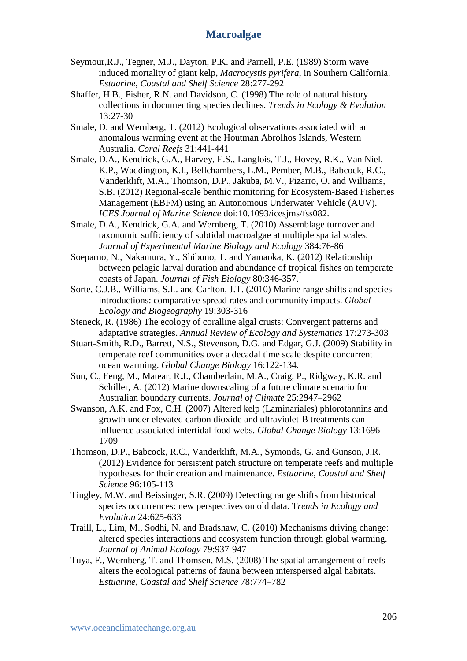- Seymour,R.J., Tegner, M.J., Dayton, P.K. and Parnell, P.E. (1989) Storm wave induced mortality of giant kelp, *Macrocystis pyrifera*, in Southern California. *Estuarine, Coastal and Shelf Science* 28:277-292
- Shaffer, H.B., Fisher, R.N. and Davidson, C. (1998) The role of natural history collections in documenting species declines. *Trends in Ecology & Evolution*  13:27-30
- Smale, D. and Wernberg, T. (2012) Ecological observations associated with an anomalous warming event at the Houtman Abrolhos Islands, Western Australia. *Coral Reefs* 31:441-441
- Smale, D.A., Kendrick, G.A., Harvey, E.S., Langlois, T.J., Hovey, R.K., Van Niel, K.P., Waddington, K.I., Bellchambers, L.M., Pember, M.B., Babcock, R.C., Vanderklift, M.A., Thomson, D.P., Jakuba, M.V., Pizarro, O. and Williams, S.B. (2012) Regional-scale benthic monitoring for Ecosystem-Based Fisheries Management (EBFM) using an Autonomous Underwater Vehicle (AUV). *ICES Journal of Marine Science* doi:10.1093/icesjms/fss082.
- Smale, D.A., Kendrick, G.A. and Wernberg, T. (2010) Assemblage turnover and taxonomic sufficiency of subtidal macroalgae at multiple spatial scales. *Journal of Experimental Marine Biology and Ecology* 384:76-86
- Soeparno, N., Nakamura, Y., Shibuno, T. and Yamaoka, K. (2012) Relationship between pelagic larval duration and abundance of tropical fishes on temperate coasts of Japan. *Journal of Fish Biology* 80:346-357.
- Sorte, C.J.B., Williams, S.L. and Carlton, J.T. (2010) Marine range shifts and species introductions: comparative spread rates and community impacts. *Global Ecology and Biogeography* 19:303-316
- Steneck, R. (1986) The ecology of coralline algal crusts: Convergent patterns and adaptative strategies. *Annual Review of Ecology and Systematics* 17:273-303
- Stuart-Smith, R.D., Barrett, N.S., Stevenson, D.G. and Edgar, G.J. (2009) Stability in temperate reef communities over a decadal time scale despite concurrent ocean warming. *Global Change Biology* 16:122-134.
- Sun, C., Feng, M., Matear, R.J., Chamberlain, M.A., Craig, P., Ridgway, K.R. and Schiller, A. (2012) Marine downscaling of a future climate scenario for Australian boundary currents. *Journal of Climate* 25:2947–2962
- Swanson, A.K. and Fox, C.H. (2007) Altered kelp (Laminariales) phlorotannins and growth under elevated carbon dioxide and ultraviolet-B treatments can influence associated intertidal food webs. *Global Change Biology* 13:1696- 1709
- Thomson, D.P., Babcock, R.C., Vanderklift, M.A., Symonds, G. and Gunson, J.R. (2012) Evidence for persistent patch structure on temperate reefs and multiple hypotheses for their creation and maintenance. *Estuarine, Coastal and Shelf Science* 96:105-113
- Tingley, M.W. and Beissinger, S.R. (2009) Detecting range shifts from historical species occurrences: new perspectives on old data. T*rends in Ecology and Evolution* 24:625-633
- Traill, L., Lim, M., Sodhi, N. and Bradshaw, C. (2010) Mechanisms driving change: altered species interactions and ecosystem function through global warming. *Journal of Animal Ecology* 79:937-947
- Tuya, F., Wernberg, T. and Thomsen, M.S. (2008) The spatial arrangement of reefs alters the ecological patterns of fauna between interspersed algal habitats. *Estuarine, Coastal and Shelf Science* 78:774–782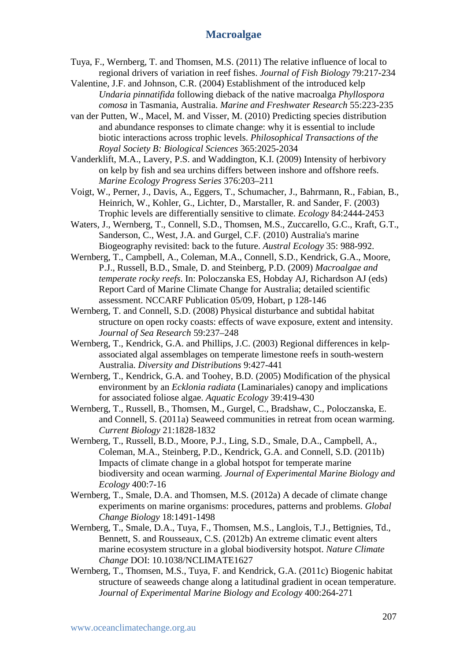- Tuya, F., Wernberg, T. and Thomsen, M.S. (2011) The relative influence of local to regional drivers of variation in reef fishes. *Journal of Fish Biology* 79:217-234
- Valentine, J.F. and Johnson, C.R. (2004) Establishment of the introduced kelp *Undaria pinnatifida* following dieback of the native macroalga *Phyllospora comosa* in Tasmania, Australia. *Marine and Freshwater Research* 55:223-235
- van der Putten, W., Macel, M. and Visser, M. (2010) Predicting species distribution and abundance responses to climate change: why it is essential to include biotic interactions across trophic levels. *Philosophical Transactions of the Royal Society B: Biological Sciences* 365:2025-2034
- Vanderklift, M.A., Lavery, P.S. and Waddington, K.I. (2009) Intensity of herbivory on kelp by fish and sea urchins differs between inshore and offshore reefs. *Marine Ecology Progress Series* 376:203–211
- Voigt, W., Perner, J., Davis, A., Eggers, T., Schumacher, J., Bahrmann, R., Fabian, B., Heinrich, W., Kohler, G., Lichter, D., Marstaller, R. and Sander, F. (2003) Trophic levels are differentially sensitive to climate. *Ecology* 84:2444-2453
- Waters, J., Wernberg, T., Connell, S.D., Thomsen, M.S., Zuccarello, G.C., Kraft, G.T., Sanderson, C., West, J.A. and Gurgel, C.F. (2010) Australia's marine Biogeography revisited: back to the future. *Austral Ecology* 35: 988-992.
- Wernberg, T., Campbell, A., Coleman, M.A., Connell, S.D., Kendrick, G.A., Moore, P.J., Russell, B.D., Smale, D. and Steinberg, P.D. (2009) *Macroalgae and temperate rocky reefs*. In: Poloczanska ES, Hobday AJ, Richardson AJ (eds) Report Card of Marine Climate Change for Australia; detailed scientific assessment. NCCARF Publication 05/09, Hobart, p 128-146
- Wernberg, T. and Connell, S.D. (2008) Physical disturbance and subtidal habitat structure on open rocky coasts: effects of wave exposure, extent and intensity. *Journal of Sea Research* 59:237–248
- Wernberg, T., Kendrick, G.A. and Phillips, J.C. (2003) Regional differences in kelpassociated algal assemblages on temperate limestone reefs in south-western Australia. *Diversity and Distributions* 9:427-441
- Wernberg, T., Kendrick, G.A. and Toohey, B.D. (2005) Modification of the physical environment by an *Ecklonia radiata* (Laminariales) canopy and implications for associated foliose algae. *Aquatic Ecology* 39:419-430
- Wernberg, T., Russell, B., Thomsen, M., Gurgel, C., Bradshaw, C., Poloczanska, E. and Connell, S. (2011a) Seaweed communities in retreat from ocean warming. *Current Biology* 21:1828-1832
- Wernberg, T., Russell, B.D., Moore, P.J., Ling, S.D., Smale, D.A., Campbell, A., Coleman, M.A., Steinberg, P.D., Kendrick, G.A. and Connell, S.D. (2011b) Impacts of climate change in a global hotspot for temperate marine biodiversity and ocean warming. *Journal of Experimental Marine Biology and Ecology* 400:7-16
- Wernberg, T., Smale, D.A. and Thomsen, M.S. (2012a) A decade of climate change experiments on marine organisms: procedures, patterns and problems. *Global Change Biology* 18:1491-1498
- Wernberg, T., Smale, D.A., Tuya, F., Thomsen, M.S., Langlois, T.J., Bettignies, Td., Bennett, S. and Rousseaux, C.S. (2012b) An extreme climatic event alters marine ecosystem structure in a global biodiversity hotspot. *Nature Climate Change* DOI: 10.1038/NCLIMATE1627
- Wernberg, T., Thomsen, M.S., Tuya, F. and Kendrick, G.A. (2011c) Biogenic habitat structure of seaweeds change along a latitudinal gradient in ocean temperature. *Journal of Experimental Marine Biology and Ecology* 400:264-271